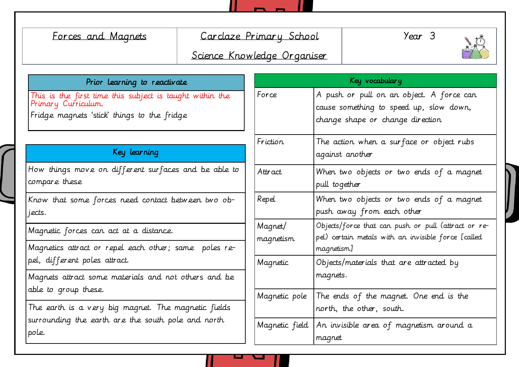| Forces and Magnets                                                                                                             | Carclaze Primary School<br>Science Knowledge Organiser |                      | Year 3                                                                                                                   |                                                          |  |
|--------------------------------------------------------------------------------------------------------------------------------|--------------------------------------------------------|----------------------|--------------------------------------------------------------------------------------------------------------------------|----------------------------------------------------------|--|
| Prior Learning to reactivate                                                                                                   |                                                        | Key vocabulary       |                                                                                                                          |                                                          |  |
| This is the first time this subject is taught within the<br>Primary Curriculum.<br>Fridge magnets 'stick' things to the fridge |                                                        | Force                | A push or pull on an object. A force can<br>cause something to speed up, slow down,<br>change shape or change direction  |                                                          |  |
| Key learning                                                                                                                   |                                                        | Friction             | The action when a surface or object rubs<br>against another                                                              |                                                          |  |
| How things move on different surfaces and be able to<br>compare these                                                          |                                                        | Attract              | When two objects or two ends of a magnet<br>pull together                                                                |                                                          |  |
| Know that some forces need contact between two ob-<br>jects.                                                                   |                                                        | Repel                | When two objects or two ends of a magnet<br>push away from each other                                                    |                                                          |  |
| Magnetic forces can act at a distance.<br>Magnetics attract or repel each other; same poles re-                                |                                                        | Magnet/<br>magnetism | Objects/force that can push or pull (attract or re-<br>pel) certain metals with an invisible force [called<br>magnetism] |                                                          |  |
| pel, different poles attract.                                                                                                  |                                                        | Magnetic             |                                                                                                                          | Objects/materials that are attracted by                  |  |
| Magnets attract some materials and not others and be<br>able to group these.                                                   |                                                        |                      | magnets.                                                                                                                 |                                                          |  |
| The earth is a very big magnet. The magnetic fields                                                                            |                                                        |                      | Magnetic pole   The ends of the magnet. One end is the<br>north, the other, south.                                       |                                                          |  |
| surrounding the earth are the south pole and north<br>pole.                                                                    |                                                        |                      | magnet                                                                                                                   | Magnetic field   An invisible area of magnetism around a |  |

п